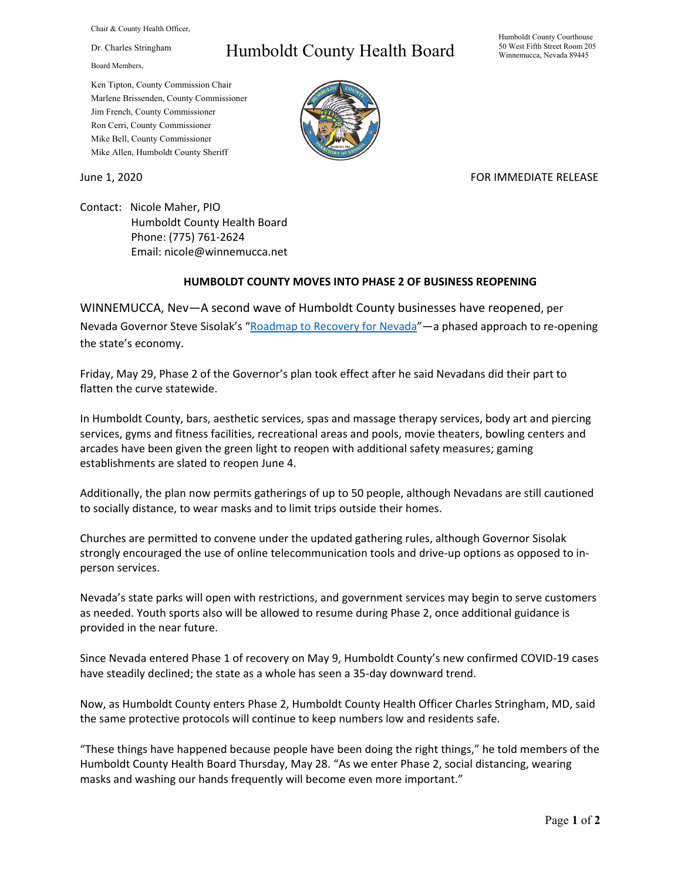Chair & County Health Officer,

Dr. Charles Stringham

Board Members,

## Humboldt County Health Board

Humboldt County Courthouse 50 West Fifth Street Room 205 Winnemucca, Nevada 89445

Ken Tipton, County Commission Chair Marlene Brissenden, County Commissioner Jim French, County Commissioner Ron Cerri, County Commissioner Mike Bell, County Commissioner Mike Allen, Humboldt County Sheriff

June 1, 2020 **FOR IMMEDIATE RELEASE** 

Contact: Nicole Maher, PIO Humboldt County Health Board Phone: (775) 761-2624 Email: nicole@winnemucca.net

## **HUMBOLDT COUNTY MOVES INTO PHASE 2 OF BUSINESS REOPENING**

WINNEMUCCA, Nev—A second wave of Humboldt County businesses have reopened, per Nevada Governor Steve Sisolak's ["Roadmap to Recovery for Nevada"](https://nvhealthresponse.nv.gov/wp-content/uploads/2020/05/Phase-2-Guidance.pdf)—a phased approach to re-opening the state's economy.

Friday, May 29, Phase 2 of the Governor's plan took effect after he said Nevadans did their part to flatten the curve statewide.

In Humboldt County, bars, aesthetic services, spas and massage therapy services, body art and piercing services, gyms and fitness facilities, recreational areas and pools, movie theaters, bowling centers and arcades have been given the green light to reopen with additional safety measures; gaming establishments are slated to reopen June 4.

Additionally, the plan now permits gatherings of up to 50 people, although Nevadans are still cautioned to socially distance, to wear masks and to limit trips outside their homes.

Churches are permitted to convene under the updated gathering rules, although Governor Sisolak strongly encouraged the use of online telecommunication tools and drive-up options as opposed to inperson services.

Nevada's state parks will open with restrictions, and government services may begin to serve customers as needed. Youth sports also will be allowed to resume during Phase 2, once additional guidance is provided in the near future.

Since Nevada entered Phase 1 of recovery on May 9, Humboldt County's new confirmed COVID-19 cases have steadily declined; the state as a whole has seen a 35-day downward trend.

Now, as Humboldt County enters Phase 2, Humboldt County Health Officer Charles Stringham, MD, said the same protective protocols will continue to keep numbers low and residents safe.

"These things have happened because people have been doing the right things," he told members of the Humboldt County Health Board Thursday, May 28. "As we enter Phase 2, social distancing, wearing masks and washing our hands frequently will become even more important."